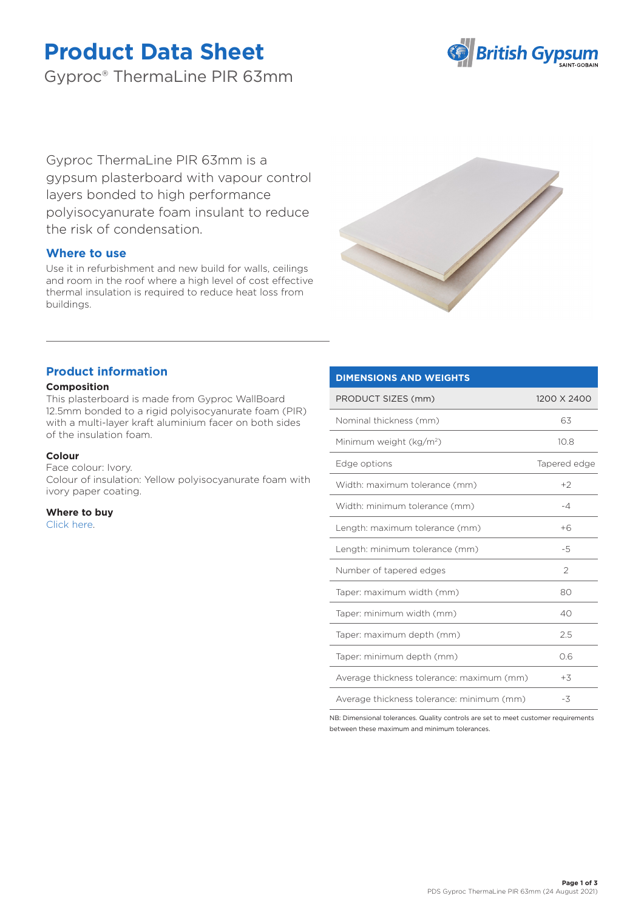# **Product Data Sheet**

Gyproc® ThermaLine PIR 63mm



Gyproc ThermaLine PIR 63mm is a gypsum plasterboard with vapour control layers bonded to high performance polyisocyanurate foam insulant to reduce the risk of condensation.

## **Where to use**

Use it in refurbishment and new build for walls, ceilings and room in the roof where a high level of cost effective thermal insulation is required to reduce heat loss from buildings.



## **Product information**

## **Composition**

This plasterboard is made from Gyproc WallBoard 12.5mm bonded to a rigid polyisocyanurate foam (PIR) with a multi-layer kraft aluminium facer on both sides of the insulation foam.

## **Colour**

Face colour: Ivory.

Colour of insulation: Yellow polyisocyanurate foam with ivory paper coating.

**Where to buy** [Click here.](https://www.british-gypsum.com/stockist-locator)

## **DIMENSIONS AND WEIGHTS**

| PRODUCT SIZES (mm)                        | 1200 X 2400   |
|-------------------------------------------|---------------|
| Nominal thickness (mm)                    | 63            |
| Minimum weight (kg/m <sup>2</sup> )       | 10.8          |
| Edge options                              | Tapered edge  |
| Width: maximum tolerance (mm)             | $+2$          |
| Width: minimum tolerance (mm)             | $-4$          |
| Length: maximum tolerance (mm)            | $+6$          |
| Length: minimum tolerance (mm)            | $-5$          |
| Number of tapered edges                   | $\mathcal{P}$ |
| Taper: maximum width (mm)                 | 80            |
| Taper: minimum width (mm)                 | 40            |
| Taper: maximum depth (mm)                 | 2.5           |
| Taper: minimum depth (mm)                 | 0.6           |
| Average thickness tolerance: maximum (mm) | $+3$          |
| Average thickness tolerance: minimum (mm) | -3            |

NB: Dimensional tolerances. Quality controls are set to meet customer requirements between these maximum and minimum tolerances.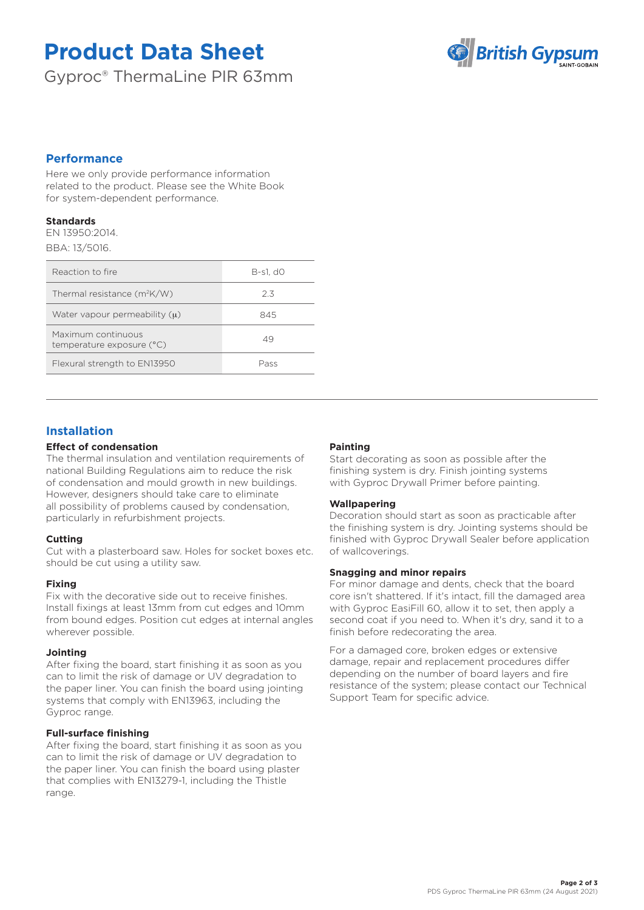# **Product Data Sheet**

Gyproc® ThermaLine PIR 63mm



## **Performance**

Here we only provide performance information related to the product. Please see the White Book for system-dependent performance.

#### **Standards**

EN 13950:2014. BBA: 13/5016.

| Reaction to fire                                | B-s1. d0 |
|-------------------------------------------------|----------|
| Thermal resistance $(m^2K/W)$                   | 23       |
| Water vapour permeability $(u)$                 | 845      |
| Maximum continuous<br>temperature exposure (°C) | 49       |
| Flexural strength to EN13950                    | Pass     |

# **Installation**

## **Effect of condensation**

The thermal insulation and ventilation requirements of national Building Regulations aim to reduce the risk of condensation and mould growth in new buildings. However, designers should take care to eliminate all possibility of problems caused by condensation, particularly in refurbishment projects.

## **Cutting**

Cut with a plasterboard saw. Holes for socket boxes etc. should be cut using a utility saw.

## **Fixing**

Fix with the decorative side out to receive finishes. Install fixings at least 13mm from cut edges and 10mm from bound edges. Position cut edges at internal angles wherever possible.

## **Jointing**

After fixing the board, start finishing it as soon as you can to limit the risk of damage or UV degradation to the paper liner. You can finish the board using jointing systems that comply with EN13963, including the Gyproc range.

## **Full-surface finishing**

After fixing the board, start finishing it as soon as you can to limit the risk of damage or UV degradation to the paper liner. You can finish the board using plaster that complies with EN13279-1, including the Thistle range.

## **Painting**

Start decorating as soon as possible after the finishing system is dry. Finish jointing systems with Gyproc Drywall Primer before painting.

## **Wallpapering**

Decoration should start as soon as practicable after the finishing system is dry. Jointing systems should be finished with Gyproc Drywall Sealer before application of wallcoverings.

## **Snagging and minor repairs**

For minor damage and dents, check that the board core isn't shattered. If it's intact, fill the damaged area with Gyproc EasiFill 60, allow it to set, then apply a second coat if you need to. When it's dry, sand it to a finish before redecorating the area.

For a damaged core, broken edges or extensive damage, repair and replacement procedures differ depending on the number of board layers and fire resistance of the system; please contact our Technical Support Team for specific advice.